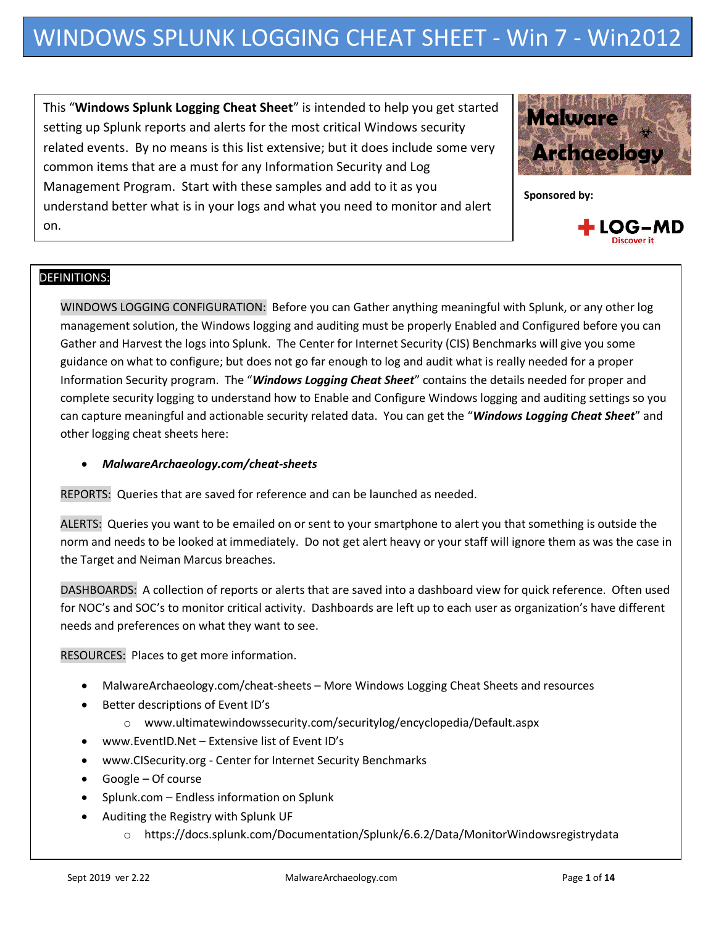This "**Windows Splunk Logging Cheat Sheet**" is intended to help you get started setting up Splunk reports and alerts for the most critical Windows security related events. By no means is this list extensive; but it does include some very common items that are a must for any Information Security and Log Management Program. Start with these samples and add to it as you understand better what is in your logs and what you need to monitor and alert on.



**Sponsored by:**



# DEFINITIONS::

WINDOWS LOGGING CONFIGURATION: Before you can Gather anything meaningful with Splunk, or any other log management solution, the Windows logging and auditing must be properly Enabled and Configured before you can Gather and Harvest the logs into Splunk. The Center for Internet Security (CIS) Benchmarks will give you some guidance on what to configure; but does not go far enough to log and audit what is really needed for a proper Information Security program. The "*Windows Logging Cheat Sheet*" contains the details needed for proper and complete security logging to understand how to Enable and Configure Windows logging and auditing settings so you can capture meaningful and actionable security related data. You can get the "*Windows Logging Cheat Sheet*" and other logging cheat sheets here:

### *MalwareArchaeology.com/cheat-sheets*

REPORTS: Queries that are saved for reference and can be launched as needed.

ALERTS: Queries you want to be emailed on or sent to your smartphone to alert you that something is outside the norm and needs to be looked at immediately. Do not get alert heavy or your staff will ignore them as was the case in the Target and Neiman Marcus breaches.

DASHBOARDS: A collection of reports or alerts that are saved into a dashboard view for quick reference. Often used for NOC's and SOC's to monitor critical activity. Dashboards are left up to each user as organization's have different needs and preferences on what they want to see.

RESOURCES: Places to get more information.

- MalwareArchaeology.com/cheat-sheets More Windows Logging Cheat Sheets and resources
- Better descriptions of Event ID's
	- o www.ultimatewindowssecurity.com/securitylog/encyclopedia/Default.aspx
- www.EventID.Net Extensive list of Event ID's
- www.CISecurity.org Center for Internet Security Benchmarks
- Google Of course
- Splunk.com Endless information on Splunk
- Auditing the Registry with Splunk UF
	- o https://docs.splunk.com/Documentation/Splunk/6.6.2/Data/MonitorWindowsregistrydata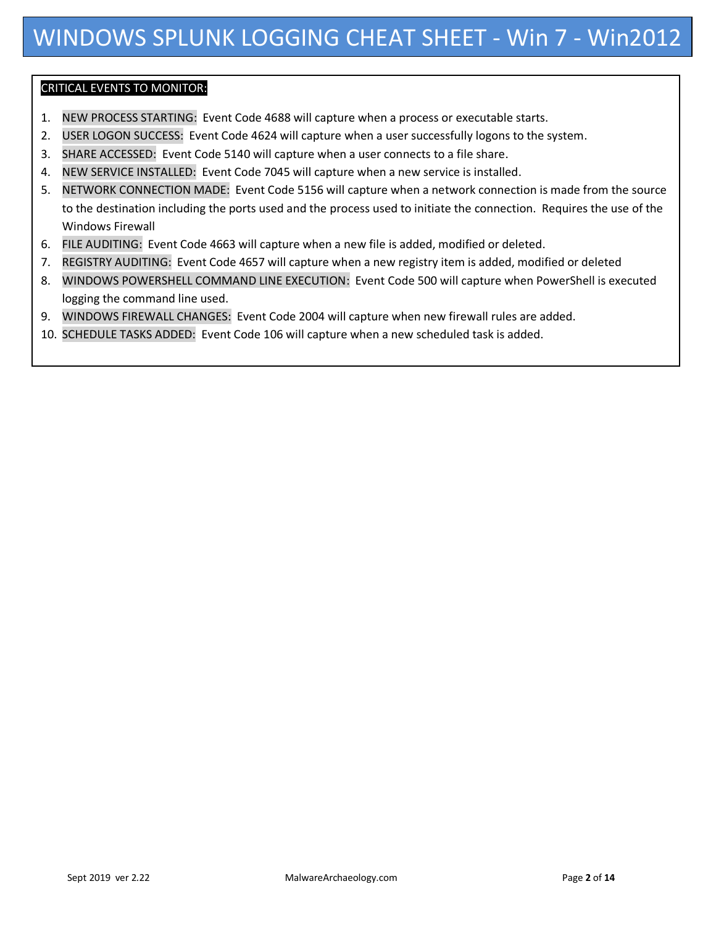# CRITICAL EVENTS TO MONITOR::

- 1. NEW PROCESS STARTING: Event Code 4688 will capture when a process or executable starts.
- 2. USER LOGON SUCCESS: Event Code 4624 will capture when a user successfully logons to the system.
- 3. SHARE ACCESSED: Event Code 5140 will capture when a user connects to a file share.
- 4. NEW SERVICE INSTALLED: Event Code 7045 will capture when a new service is installed.
- 5. NETWORK CONNECTION MADE: Event Code 5156 will capture when a network connection is made from the source to the destination including the ports used and the process used to initiate the connection. Requires the use of the Windows Firewall
- 6. FILE AUDITING: Event Code 4663 will capture when a new file is added, modified or deleted.
- 7. REGISTRY AUDITING: Event Code 4657 will capture when a new registry item is added, modified or deleted
- 8. WINDOWS POWERSHELL COMMAND LINE EXECUTION: Event Code 500 will capture when PowerShell is executed logging the command line used.
- 9. WINDOWS FIREWALL CHANGES: Event Code 2004 will capture when new firewall rules are added.
- 10. SCHEDULE TASKS ADDED: Event Code 106 will capture when a new scheduled task is added.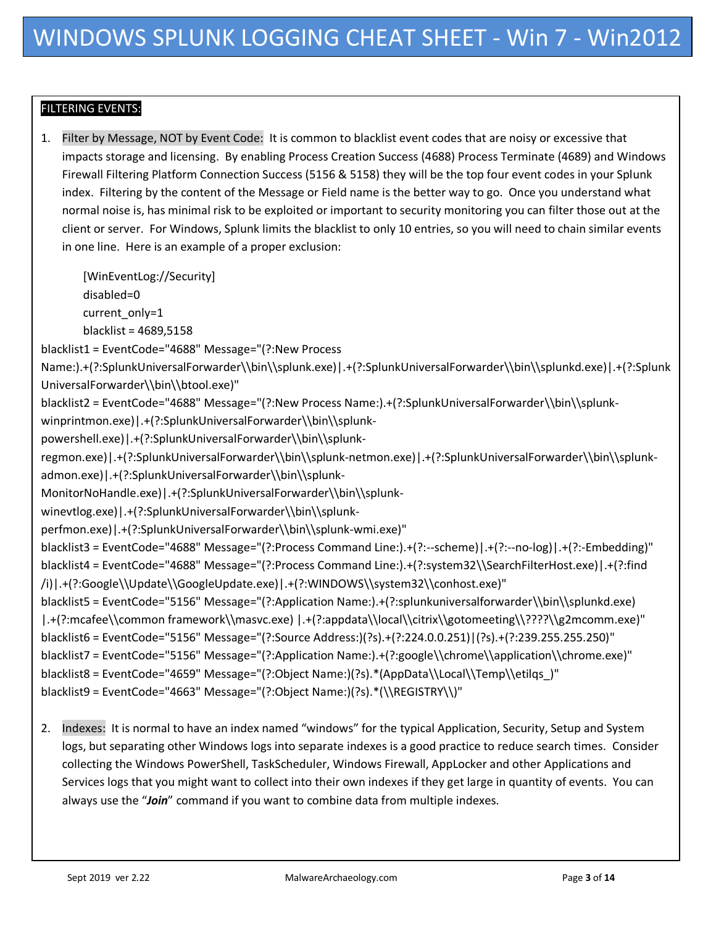# **FILTERING EVENTS:**

1. Filter by Message, NOT by Event Code: It is common to blacklist event codes that are noisy or excessive that impacts storage and licensing. By enabling Process Creation Success (4688) Process Terminate (4689) and Windows Firewall Filtering Platform Connection Success (5156 & 5158) they will be the top four event codes in your Splunk index. Filtering by the content of the Message or Field name is the better way to go. Once you understand what normal noise is, has minimal risk to be exploited or important to security monitoring you can filter those out at the client or server. For Windows, Splunk limits the blacklist to only 10 entries, so you will need to chain similar events in one line. Here is an example of a proper exclusion:

[WinEventLog://Security] disabled=0

current\_only=1

blacklist = 4689,5158

blacklist1 = EventCode="4688" Message="(?:New Process

Name:).+(?:SplunkUniversalForwarder\\bin\\splunk.exe)|.+(?:SplunkUniversalForwarder\\bin\\splunkd.exe)|.+(?:Splunk UniversalForwarder\\bin\\btool.exe)"

blacklist2 = EventCode="4688" Message="(?:New Process Name:).+(?:SplunkUniversalForwarder\\bin\\splunk-

winprintmon.exe)|.+(?:SplunkUniversalForwarder\\bin\\splunk-

powershell.exe)|.+(?:SplunkUniversalForwarder\\bin\\splunk-

admon.exe)|.+(?:SplunkUniversalForwarder\\bin\\splunkregmon.exe)|.+(?:SplunkUniversalForwarder\\bin\\splunk-netmon.exe)|.+(?:SplunkUniversalForwarder\\bin\\splunk-

MonitorNoHandle.exe)|.+(?:SplunkUniversalForwarder\\bin\\splunk-

winevtlog.exe)|.+(?:SplunkUniversalForwarder\\bin\\splunk-

perfmon.exe)|.+(?:SplunkUniversalForwarder\\bin\\splunk-wmi.exe)"

blacklist3 = EventCode="4688" Message="(?:Process Command Line:).+(?:--scheme)|.+(?:--no-log)|.+(?:-Embedding)" blacklist4 = EventCode="4688" Message="(?:Process Command Line:).+(?:system32\\SearchFilterHost.exe)|.+(?:find /i)|.+(?:Google\\Update\\GoogleUpdate.exe)|.+(?:WINDOWS\\system32\\conhost.exe)"

blacklist5 = EventCode="5156" Message="(?:Application Name:).+(?:splunkuniversalforwarder\\bin\\splunkd.exe) |.+(?:mcafee\\common framework\\masvc.exe) |.+(?:appdata\\local\\citrix\\gotomeeting\\????\\g2mcomm.exe)" blacklist6 = EventCode="5156" Message="(?:Source Address:)(?s).+(?:224.0.0.251)|(?s).+(?:239.255.255.250)" blacklist7 = EventCode="5156" Message="(?:Application Name:).+(?:google\\chrome\\application\\chrome.exe)" blacklist8 = EventCode="4659" Message="(?:Object Name:)(?s).\*(AppData\\Local\\Temp\\etilqs)" blacklist9 = EventCode="4663" Message="(?:Object Name:)(?s).\*(\\REGISTRY\\)"

2. Indexes: It is normal to have an index named "windows" for the typical Application, Security, Setup and System logs, but separating other Windows logs into separate indexes is a good practice to reduce search times. Consider collecting the Windows PowerShell, TaskScheduler, Windows Firewall, AppLocker and other Applications and Services logs that you might want to collect into their own indexes if they get large in quantity of events. You can always use the "*Join*" command if you want to combine data from multiple indexes.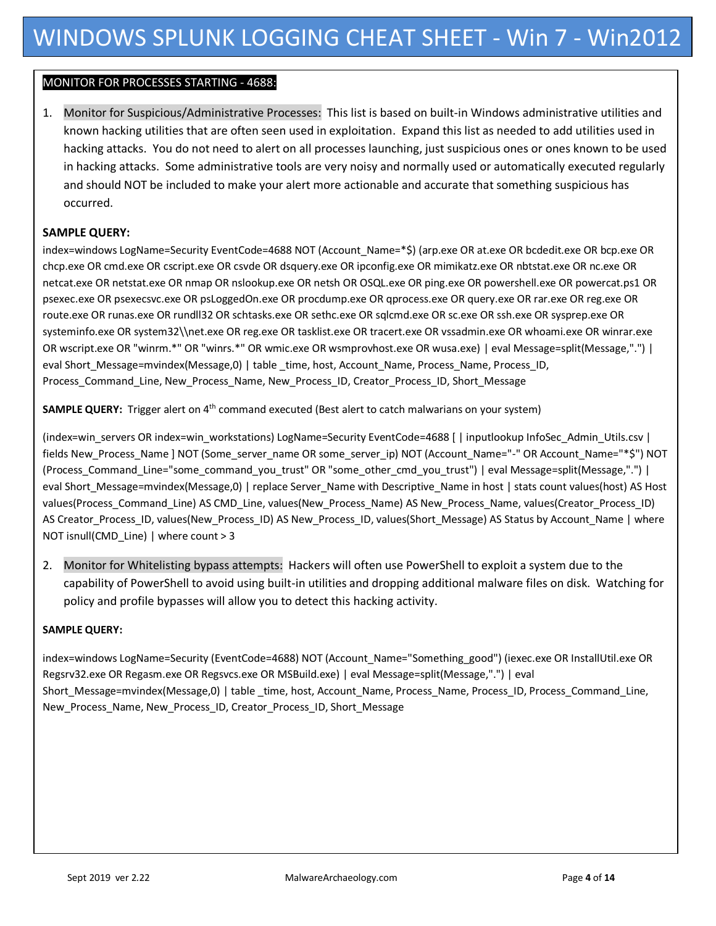## MONITOR FOR PROCESSES STARTING - 4688::

1. Monitor for Suspicious/Administrative Processes: This list is based on built-in Windows administrative utilities and known hacking utilities that are often seen used in exploitation. Expand this list as needed to add utilities used in hacking attacks. You do not need to alert on all processes launching, just suspicious ones or ones known to be used in hacking attacks. Some administrative tools are very noisy and normally used or automatically executed regularly and should NOT be included to make your alert more actionable and accurate that something suspicious has occurred.

### **SAMPLE QUERY:**

index=windows LogName=Security EventCode=4688 NOT (Account\_Name=\*\$) (arp.exe OR at.exe OR bcdedit.exe OR bcp.exe OR chcp.exe OR cmd.exe OR cscript.exe OR csvde OR dsquery.exe OR ipconfig.exe OR mimikatz.exe OR nbtstat.exe OR nc.exe OR netcat.exe OR netstat.exe OR nmap OR nslookup.exe OR netsh OR OSQL.exe OR ping.exe OR powershell.exe OR powercat.ps1 OR psexec.exe OR psexecsvc.exe OR psLoggedOn.exe OR procdump.exe OR qprocess.exe OR query.exe OR rar.exe OR reg.exe OR route.exe OR runas.exe OR rundll32 OR schtasks.exe OR sethc.exe OR sqlcmd.exe OR sc.exe OR ssh.exe OR sysprep.exe OR systeminfo.exe OR system32\\net.exe OR reg.exe OR tasklist.exe OR tracert.exe OR vssadmin.exe OR whoami.exe OR winrar.exe OR wscript.exe OR "winrm.\*" OR "winrs.\*" OR wmic.exe OR wsmprovhost.exe OR wusa.exe) | eval Message=split(Message,".") | eval Short\_Message=mvindex(Message,0) | table \_time, host, Account\_Name, Process\_Name, Process\_ID, Process\_Command\_Line, New\_Process\_Name, New\_Process\_ID, Creator\_Process\_ID, Short\_Message

**SAMPLE QUERY:** Trigger alert on 4<sup>th</sup> command executed (Best alert to catch malwarians on your system)

(index=win\_servers OR index=win\_workstations) LogName=Security EventCode=4688 [ | inputlookup InfoSec\_Admin\_Utils.csv | fields New Process\_Name ] NOT (Some\_server\_name OR some\_server\_ip) NOT (Account\_Name="-" OR Account\_Name="\*\$") NOT (Process\_Command\_Line="some\_command\_you\_trust" OR "some\_other\_cmd\_you\_trust") | eval Message=split(Message,".") | eval Short\_Message=mvindex(Message,0) | replace Server\_Name with Descriptive\_Name in host | stats count values(host) AS Host values(Process\_Command\_Line) AS CMD\_Line, values(New\_Process\_Name) AS New\_Process\_Name, values(Creator\_Process\_ID) AS Creator\_Process\_ID, values(New\_Process\_ID) AS New\_Process\_ID, values(Short\_Message) AS Status by Account\_Name | where NOT isnull(CMD\_Line) | where count > 3

2. Monitor for Whitelisting bypass attempts: Hackers will often use PowerShell to exploit a system due to the capability of PowerShell to avoid using built-in utilities and dropping additional malware files on disk. Watching for policy and profile bypasses will allow you to detect this hacking activity.

#### **SAMPLE QUERY:**

index=windows LogName=Security (EventCode=4688) NOT (Account\_Name="Something\_good") (iexec.exe OR InstallUtil.exe OR Regsrv32.exe OR Regasm.exe OR Regsvcs.exe OR MSBuild.exe) | eval Message=split(Message,".") | eval Short\_Message=mvindex(Message,0) | table \_time, host, Account\_Name, Process\_Name, Process\_ID, Process\_Command\_Line, New\_Process\_Name, New\_Process\_ID, Creator\_Process\_ID, Short\_Message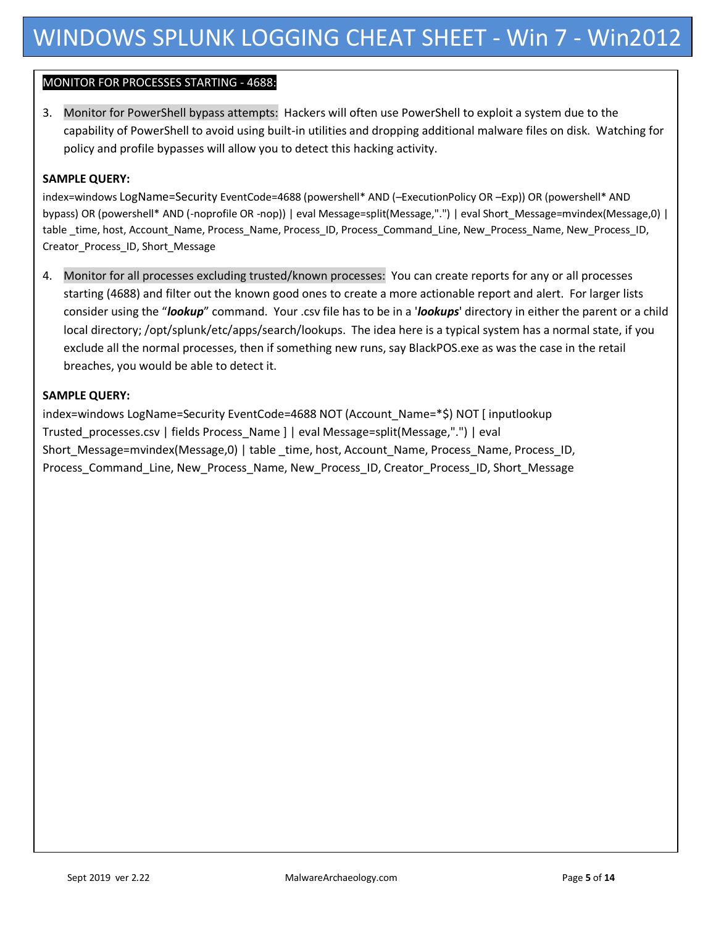# MONITOR FOR PROCESSES STARTING - 4688::

3. Monitor for PowerShell bypass attempts: Hackers will often use PowerShell to exploit a system due to the capability of PowerShell to avoid using built-in utilities and dropping additional malware files on disk. Watching for policy and profile bypasses will allow you to detect this hacking activity.

#### **SAMPLE QUERY:**

index=windows LogName=Security EventCode=4688 (powershell\* AND (–ExecutionPolicy OR –Exp)) OR (powershell\* AND bypass) OR (powershell\* AND (-noprofile OR -nop)) | eval Message=split(Message,".") | eval Short\_Message=mvindex(Message,0) | table \_time, host, Account\_Name, Process\_Name, Process\_ID, Process\_Command\_Line, New\_Process\_Name, New\_Process\_ID, Creator\_Process\_ID, Short\_Message

4. Monitor for all processes excluding trusted/known processes: You can create reports for any or all processes starting (4688) and filter out the known good ones to create a more actionable report and alert. For larger lists consider using the "*lookup*" command. Your .csv file has to be in a '*lookups*' directory in either the parent or a child local directory; /opt/splunk/etc/apps/search/lookups. The idea here is a typical system has a normal state, if you exclude all the normal processes, then if something new runs, say BlackPOS.exe as was the case in the retail breaches, you would be able to detect it.

### **SAMPLE QUERY:**

index=windows LogName=Security EventCode=4688 NOT (Account\_Name=\*\$) NOT [ inputlookup Trusted\_processes.csv | fields Process\_Name ] | eval Message=split(Message,".") | eval Short\_Message=mvindex(Message,0) | table \_time, host, Account\_Name, Process\_Name, Process\_ID, Process\_Command\_Line, New\_Process\_Name, New\_Process\_ID, Creator\_Process\_ID, Short\_Message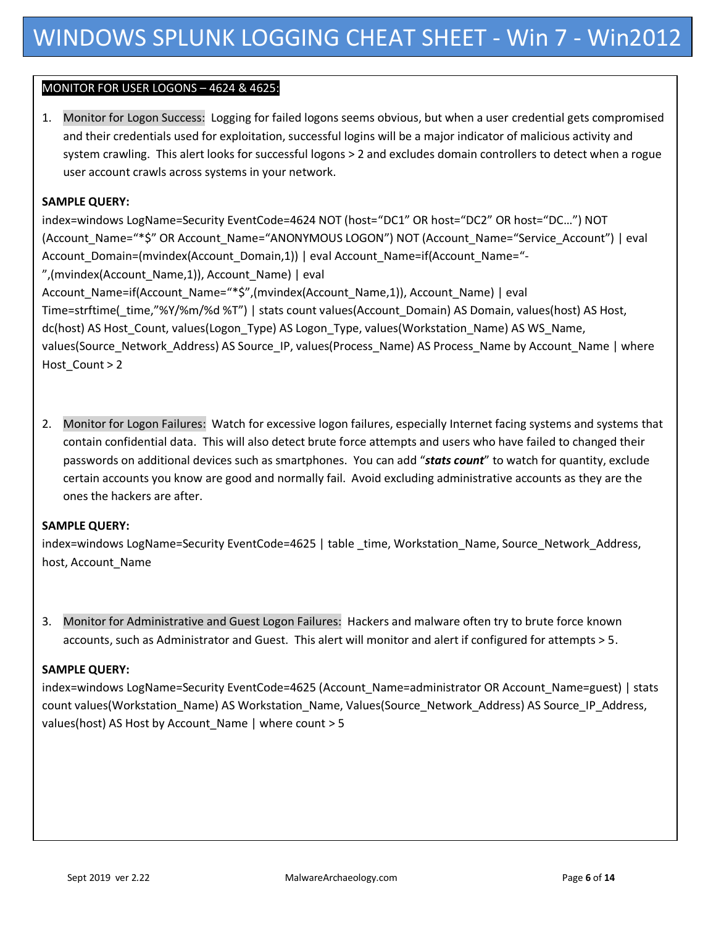## MONITOR FOR USER LOGONS – 4624 & 4625::

1. Monitor for Logon Success: Logging for failed logons seems obvious, but when a user credential gets compromised and their credentials used for exploitation, successful logins will be a major indicator of malicious activity and system crawling. This alert looks for successful logons > 2 and excludes domain controllers to detect when a rogue user account crawls across systems in your network.

### **SAMPLE QUERY:**

index=windows LogName=Security EventCode=4624 NOT (host="DC1" OR host="DC2" OR host="DC…") NOT (Account\_Name="\*\$" OR Account\_Name="ANONYMOUS LOGON") NOT (Account\_Name="Service\_Account") | eval Account\_Domain=(mvindex(Account\_Domain,1)) | eval Account\_Name=if(Account\_Name="- ",(mvindex(Account\_Name,1)), Account\_Name) | eval Account\_Name=if(Account\_Name="\*\$",(mvindex(Account\_Name,1)), Account\_Name) | eval Time=strftime(\_time,"%Y/%m/%d %T") | stats count values(Account \_Domain) AS Domain, values(host) AS Host, dc(host) AS Host Count, values(Logon Type) AS Logon Type, values(Workstation Name) AS WS Name, values(Source\_Network\_Address) AS Source\_IP, values(Process\_Name) AS Process\_Name by Account\_Name | where Host\_Count > 2

2. Monitor for Logon Failures: Watch for excessive logon failures, especially Internet facing systems and systems that contain confidential data. This will also detect brute force attempts and users who have failed to changed their passwords on additional devices such as smartphones. You can add "*stats count*" to watch for quantity, exclude certain accounts you know are good and normally fail. Avoid excluding administrative accounts as they are the ones the hackers are after.

## **SAMPLE QUERY:**

index=windows LogName=Security EventCode=4625 | table \_time, Workstation\_Name, Source\_Network\_Address, host, Account\_Name

3. Monitor for Administrative and Guest Logon Failures: Hackers and malware often try to brute force known accounts, such as Administrator and Guest. This alert will monitor and alert if configured for attempts > 5.

#### **SAMPLE QUERY:**

index=windows LogName=Security EventCode=4625 (Account\_Name=administrator OR Account\_Name=guest) | stats count values(Workstation\_Name) AS Workstation\_Name, Values(Source\_Network\_Address) AS Source\_IP\_Address, values(host) AS Host by Account\_Name | where count > 5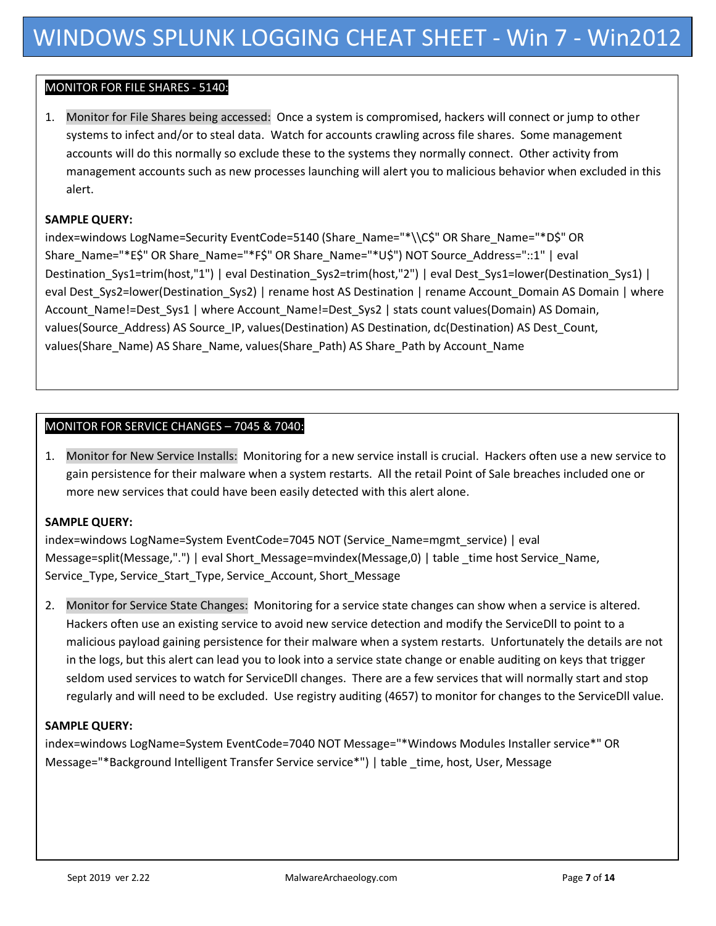### MONITOR FOR FILE SHARES - 5140::

1. Monitor for File Shares being accessed: Once a system is compromised, hackers will connect or jump to other systems to infect and/or to steal data. Watch for accounts crawling across file shares. Some management accounts will do this normally so exclude these to the systems they normally connect. Other activity from management accounts such as new processes launching will alert you to malicious behavior when excluded in this alert.

#### **SAMPLE QUERY:**

index=windows LogName=Security EventCode=5140 (Share\_Name="\*\\C\$" OR Share\_Name="\*D\$" OR Share\_Name="\*E\$" OR Share\_Name="\*F\$" OR Share\_Name="\*U\$") NOT Source\_Address="::1" | eval Destination Sys1=trim(host,"1") | eval Destination Sys2=trim(host,"2") | eval Dest Sys1=lower(Destination Sys1) | eval Dest Sys2=lower(Destination Sys2) | rename host AS Destination | rename Account Domain AS Domain | where Account Name!=Dest Sys1 | where Account Name!=Dest Sys2 | stats count values(Domain) AS Domain, values(Source\_Address) AS Source\_IP, values(Destination) AS Destination, dc(Destination) AS Dest\_Count, values(Share\_Name) AS Share\_Name, values(Share\_Path) AS Share\_Path by Account\_Name

### MONITOR FOR SERVICE CHANGES – 7045 & 7040::

1. Monitor for New Service Installs: Monitoring for a new service install is crucial. Hackers often use a new service to gain persistence for their malware when a system restarts. All the retail Point of Sale breaches included one or more new services that could have been easily detected with this alert alone.

#### **SAMPLE QUERY:**

index=windows LogName=System EventCode=7045 NOT (Service\_Name=mgmt\_service) | eval Message=split(Message,".") | eval Short\_Message=mvindex(Message,0) | table \_time host Service\_Name, Service\_Type, Service\_Start\_Type, Service\_Account, Short\_Message

2. Monitor for Service State Changes: Monitoring for a service state changes can show when a service is altered. Hackers often use an existing service to avoid new service detection and modify the ServiceDll to point to a malicious payload gaining persistence for their malware when a system restarts. Unfortunately the details are not in the logs, but this alert can lead you to look into a service state change or enable auditing on keys that trigger seldom used services to watch for ServiceDll changes. There are a few services that will normally start and stop regularly and will need to be excluded. Use registry auditing (4657) to monitor for changes to the ServiceDll value.

#### **SAMPLE QUERY:**

index=windows LogName=System EventCode=7040 NOT Message="\*Windows Modules Installer service\*" OR Message="\*Background Intelligent Transfer Service service\*") | table \_time, host, User, Message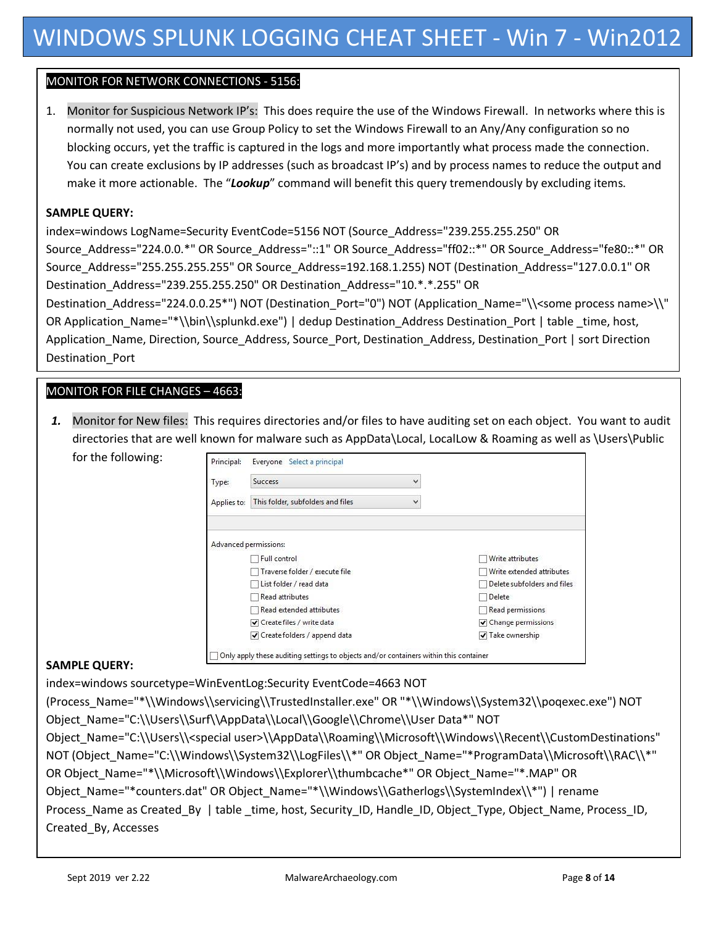# MONITOR FOR NETWORK CONNECTIONS - 5156::

1. Monitor for Suspicious Network IP's: This does require the use of the Windows Firewall. In networks where this is normally not used, you can use Group Policy to set the Windows Firewall to an Any/Any configuration so no blocking occurs, yet the traffic is captured in the logs and more importantly what process made the connection. You can create exclusions by IP addresses (such as broadcast IP's) and by process names to reduce the output and make it more actionable. The "*Lookup*" command will benefit this query tremendously by excluding items.

### **SAMPLE QUERY:**

index=windows LogName=Security EventCode=5156 NOT (Source\_Address="239.255.255.250" OR Source\_Address="224.0.0.\*" OR Source\_Address="::1" OR Source\_Address="ff02::\*" OR Source\_Address="fe80::\*" OR Source\_Address="255.255.255.255" OR Source\_Address=192.168.1.255) NOT (Destination\_Address="127.0.0.1" OR Destination\_Address="239.255.255.250" OR Destination\_Address="10.\*.\*.255" OR Destination\_Address="224.0.0.25\*") NOT (Destination\_Port="0") NOT (Application\_Name="\\<some process name>\\" OR Application\_Name="\*\\bin\\splunkd.exe") | dedup Destination\_Address Destination\_Port | table \_time, host, Application\_Name, Direction, Source\_Address, Source\_Port, Destination\_Address, Destination\_Port | sort Direction Destination\_Port

# MONITOR FOR FILE CHANGES – 4663::

*1.* Monitor for New files: This requires directories and/or files to have auditing set on each object. You want to audit directories that are well known for malware such as AppData\Local, LocalLow & Roaming as well as \Users\Public for the following:

| Type:       | <b>Success</b><br>v                    |                             |
|-------------|----------------------------------------|-----------------------------|
| Applies to: | This folder, subfolders and files<br>v |                             |
|             | Advanced permissions:                  |                             |
|             | Full control                           | Write attributes            |
|             | Traverse folder / execute file         | Write extended attributes   |
|             | List folder / read data                | Delete subfolders and files |
|             | Read attributes                        | Delete                      |
|             | Read extended attributes               | Read permissions            |
|             | Create files / write data              | ✔ Change permissions        |
|             |                                        | √ Take ownership            |

## **SAMPLE QUERY:**

index=windows sourcetype=WinEventLog:Security EventCode=4663 NOT (Process\_Name="\*\\Windows\\servicing\\TrustedInstaller.exe" OR "\*\\Windows\\System32\\poqexec.exe") NOT Object\_Name="C:\\Users\\Surf\\AppData\\Local\\Google\\Chrome\\User Data\*" NOT Object\_Name="C:\\Users\\<special user>\\AppData\\Roaming\\Microsoft\\Windows\\Recent\\CustomDestinations" NOT (Object\_Name="C:\\Windows\\System32\\LogFiles\\\*" OR Object\_Name="\*ProgramData\\Microsoft\\RAC\\\*" OR Object\_Name="\*\\Microsoft\\Windows\\Explorer\\thumbcache\*" OR Object\_Name="\*.MAP" OR Object\_Name="\*counters.dat" OR Object\_Name="\*\\Windows\\Gatherlogs\\SystemIndex\\\*") | rename Process\_Name as Created\_By | table \_time, host, Security\_ID, Handle\_ID, Object\_Type, Object\_Name, Process\_ID, Created\_By, Accesses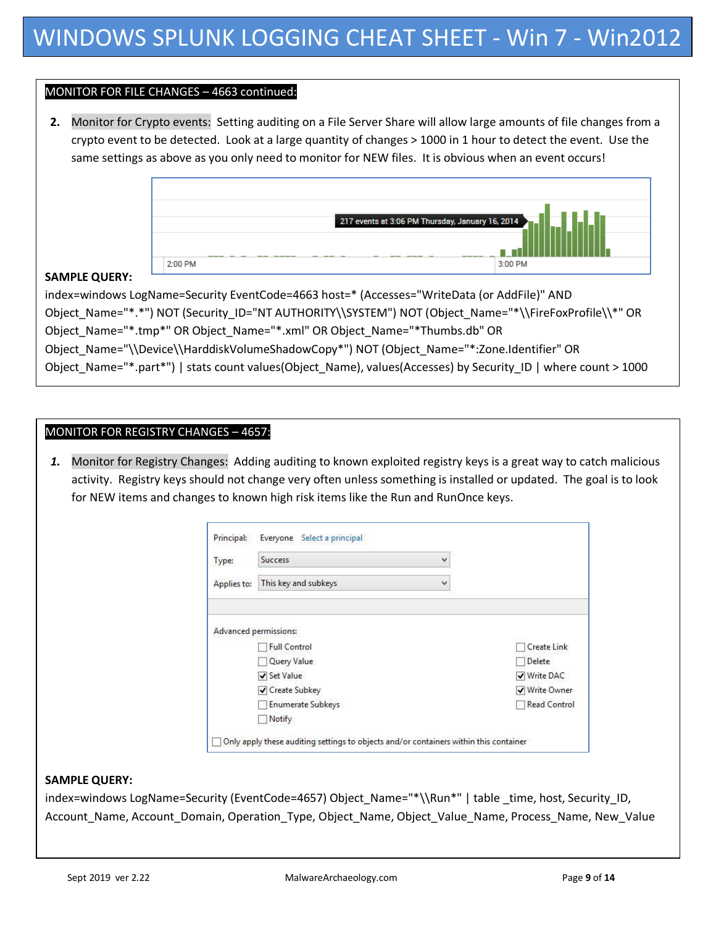## MONITOR FOR FILE CHANGES – 4663 continued::

**2.** Monitor for Crypto events: Setting auditing on a File Server Share will allow large amounts of file changes from a crypto event to be detected. Look at a large quantity of changes > 1000 in 1 hour to detect the event. Use the same settings as above as you only need to monitor for NEW files. It is obvious when an event occurs!



### **SAMPLE QUERY:**

index=windows LogName=Security EventCode=4663 host=\* (Accesses="WriteData (or AddFile)" AND Object\_Name="\*.\*") NOT (Security\_ID="NT AUTHORITY\\SYSTEM") NOT (Object\_Name="\*\\FireFoxProfile\\\*" OR Object\_Name="\*.tmp\*" OR Object\_Name="\*.xml" OR Object\_Name="\*Thumbs.db" OR Object\_Name="\\Device\\HarddiskVolumeShadowCopy\*") NOT (Object\_Name="\*:Zone.Identifier" OR Object\_Name="\*.part\*") | stats count values(Object\_Name), values(Accesses) by Security\_ID | where count > 1000

### MONITOR FOR REGISTRY CHANGES - 4657:

*1.* Monitor for Registry Changes: Adding auditing to known exploited registry keys is a great way to catch malicious activity. Registry keys should not change very often unless something is installed or updated. The goal is to look for NEW items and changes to known high risk items like the Run and RunOnce keys.

| Type:       | <b>Success</b><br>٧                          |               |
|-------------|----------------------------------------------|---------------|
| Applies to: | This key and subkeys<br>$\checkmark$         |               |
|             | Advanced permissions:<br><b>Full Control</b> | Create Link   |
|             | Query Value                                  | Delete        |
|             | Set Value                                    | ✔ Write DAC   |
|             | ✔ Create Subkey                              | √ Write Owner |
|             | Enumerate Subkeys                            | Read Control  |
|             |                                              |               |

#### **SAMPLE QUERY:**

index=windows LogName=Security (EventCode=4657) Object\_Name="\*\\Run\*" | table \_time, host, Security\_ID, Account\_Name, Account\_Domain, Operation\_Type, Object\_Name, Object\_Value\_Name, Process\_Name, New\_Value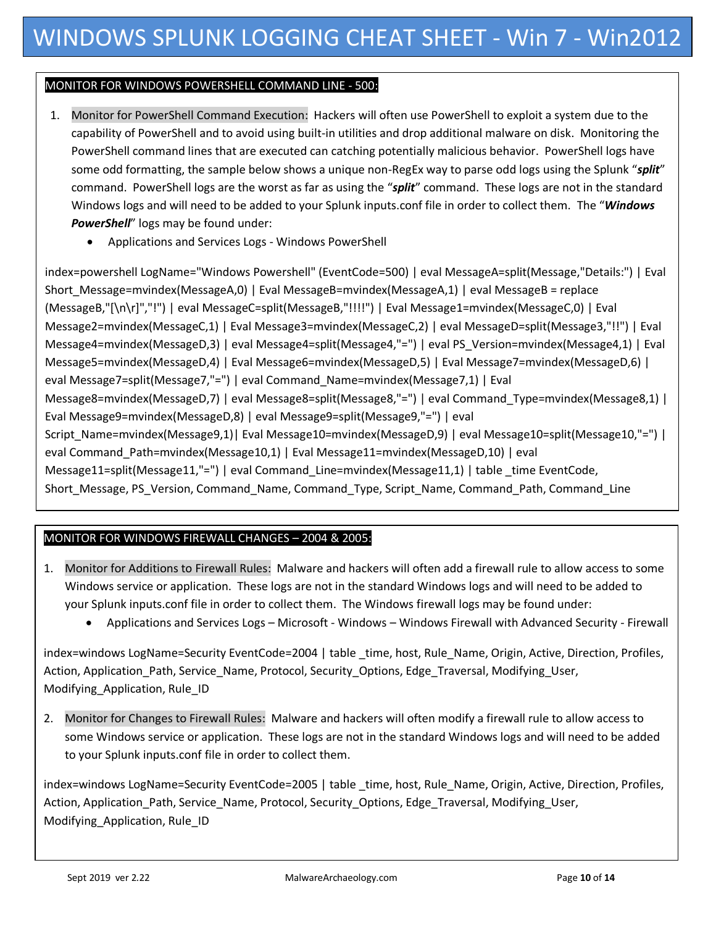# MONITOR FOR WINDOWS POWERSHELL COMMAND LINE - 500::

- 1. Monitor for PowerShell Command Execution: Hackers will often use PowerShell to exploit a system due to the capability of PowerShell and to avoid using built-in utilities and drop additional malware on disk. Monitoring the PowerShell command lines that are executed can catching potentially malicious behavior. PowerShell logs have some odd formatting, the sample below shows a unique non-RegEx way to parse odd logs using the Splunk "*split*" command. PowerShell logs are the worst as far as using the "*split*" command. These logs are not in the standard Windows logs and will need to be added to your Splunk inputs.conf file in order to collect them. The "*Windows PowerShell*" logs may be found under:
	- Applications and Services Logs Windows PowerShell

index=powershell LogName="Windows Powershell" (EventCode=500) | eval MessageA=split(Message,"Details:") | Eval Short Message=mvindex(MessageA,0) | Eval MessageB=mvindex(MessageA,1) | eval MessageB = replace (MessageB,"[\n\r]","!") | eval MessageC=split(MessageB,"!!!!") | Eval Message1=mvindex(MessageC,0) | Eval Message2=mvindex(MessageC,1) | Eval Message3=mvindex(MessageC,2) | eval MessageD=split(Message3,"!!") | Eval Message4=mvindex(MessageD,3) | eval Message4=split(Message4,"=") | eval PS\_Version=mvindex(Message4,1) | Eval Message5=mvindex(MessageD,4) | Eval Message6=mvindex(MessageD,5) | Eval Message7=mvindex(MessageD,6) | eval Message7=split(Message7,"=") | eval Command\_Name=mvindex(Message7,1) | Eval Message8=mvindex(MessageD,7) | eval Message8=split(Message8,"=") | eval Command\_Type=mvindex(Message8,1) | Eval Message9=mvindex(MessageD,8) | eval Message9=split(Message9,"=") | eval Script\_Name=mvindex(Message9,1)| Eval Message10=mvindex(MessageD,9) | eval Message10=split(Message10,"=") | eval Command\_Path=mvindex(Message10,1) | Eval Message11=mvindex(MessageD,10) | eval Message11=split(Message11,"=") | eval Command Line=mvindex(Message11,1) | table time EventCode, Short\_Message, PS\_Version, Command\_Name, Command\_Type, Script\_Name, Command\_Path, Command\_Line

# MONITOR FOR WINDOWS FIREWALL CHANGES – 2004 & 2005::

- 1. Monitor for Additions to Firewall Rules: Malware and hackers will often add a firewall rule to allow access to some Windows service or application. These logs are not in the standard Windows logs and will need to be added to your Splunk inputs.conf file in order to collect them. The Windows firewall logs may be found under:
	- Applications and Services Logs Microsoft Windows Windows Firewall with Advanced Security Firewall

index=windows LogName=Security EventCode=2004 | table time, host, Rule Name, Origin, Active, Direction, Profiles, Action, Application\_Path, Service\_Name, Protocol, Security\_Options, Edge\_Traversal, Modifying\_User, Modifying\_Application, Rule\_ID

2. Monitor for Changes to Firewall Rules: Malware and hackers will often modify a firewall rule to allow access to some Windows service or application. These logs are not in the standard Windows logs and will need to be added to your Splunk inputs.conf file in order to collect them.

index=windows LogName=Security EventCode=2005 | table \_time, host, Rule\_Name, Origin, Active, Direction, Profiles, Action, Application\_Path, Service\_Name, Protocol, Security\_Options, Edge\_Traversal, Modifying\_User, Modifying\_Application, Rule\_ID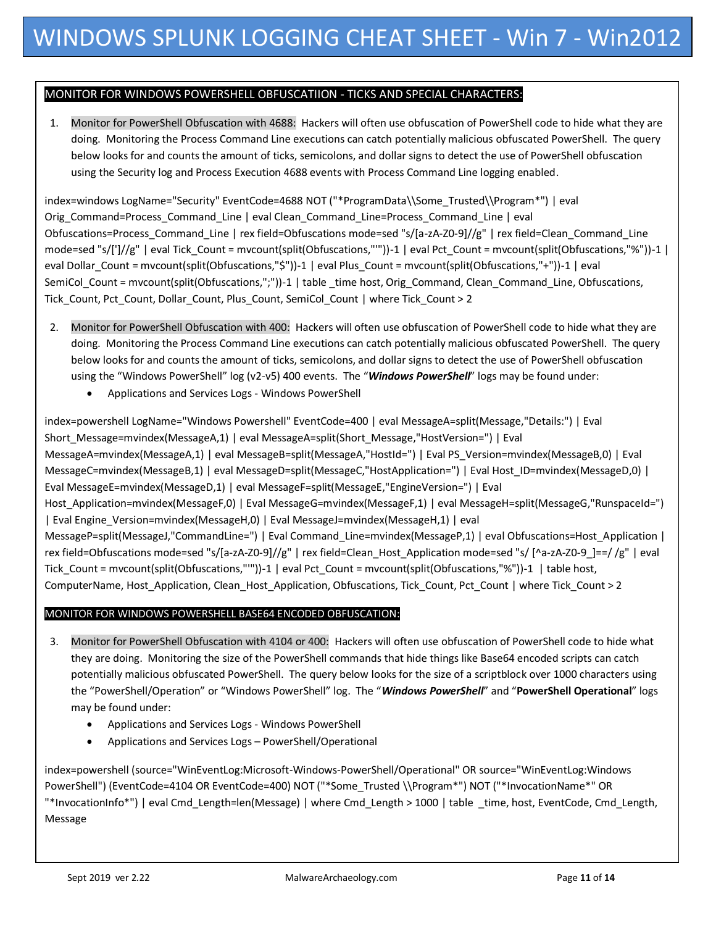### MONITOR FOR WINDOWS POWERSHELL OBFUSCATIION - TICKS AND SPECIAL CHARACTERS::

1. Monitor for PowerShell Obfuscation with 4688: Hackers will often use obfuscation of PowerShell code to hide what they are doing. Monitoring the Process Command Line executions can catch potentially malicious obfuscated PowerShell. The query below looks for and counts the amount of ticks, semicolons, and dollar signs to detect the use of PowerShell obfuscation using the Security log and Process Execution 4688 events with Process Command Line logging enabled.

index=windows LogName="Security" EventCode=4688 NOT ("\*ProgramData\\Some\_Trusted\\Program\*") | eval Orig\_Command=Process\_Command\_Line | eval Clean\_Command\_Line=Process\_Command\_Line | eval Obfuscations=Process\_Command\_Line | rex field=Obfuscations mode=sed "s/[a-zA-Z0-9]//g" | rex field=Clean\_Command\_Line mode=sed "s/[']//g" | eval Tick\_Count = mvcount(split(Obfuscations,"'"))-1 | eval Pct\_Count = mvcount(split(Obfuscations,"%"))-1 | eval Dollar\_Count = mvcount(split(Obfuscations,"\$"))-1 | eval Plus\_Count = mvcount(split(Obfuscations,"+"))-1 | eval SemiCol\_Count = mvcount(split(Obfuscations,";"))-1 | table \_time host, Orig\_Command, Clean\_Command\_Line, Obfuscations, Tick Count, Pct Count, Dollar Count, Plus Count, SemiCol Count | where Tick Count > 2

- 2. Monitor for PowerShell Obfuscation with 400: Hackers will often use obfuscation of PowerShell code to hide what they are doing. Monitoring the Process Command Line executions can catch potentially malicious obfuscated PowerShell. The query below looks for and counts the amount of ticks, semicolons, and dollar signs to detect the use of PowerShell obfuscation using the "Windows PowerShell" log (v2-v5) 400 events. The "*Windows PowerShell*" logs may be found under:
	- Applications and Services Logs Windows PowerShell

index=powershell LogName="Windows Powershell" EventCode=400 | eval MessageA=split(Message,"Details:") | Eval Short\_Message=mvindex(MessageA,1) | eval MessageA=split(Short\_Message,"HostVersion=") | Eval MessageA=mvindex(MessageA,1) | eval MessageB=split(MessageA,"HostId=") | Eval PS\_Version=mvindex(MessageB,0) | Eval MessageC=mvindex(MessageB,1) | eval MessageD=split(MessageC,"HostApplication=") | Eval Host\_ID=mvindex(MessageD,0) | Eval MessageE=mvindex(MessageD,1) | eval MessageF=split(MessageE,"EngineVersion=") | Eval Host\_Application=mvindex(MessageF,0) | Eval MessageG=mvindex(MessageF,1) | eval MessageH=split(MessageG,"RunspaceId=") | Eval Engine\_Version=mvindex(MessageH,0) | Eval MessageJ=mvindex(MessageH,1) | eval MessageP=split(MessageJ,"CommandLine=") | Eval Command Line=mvindex(MessageP,1) | eval Obfuscations=Host Application | rex field=Obfuscations mode=sed "s/[a-zA-Z0-9]//g" | rex field=Clean\_Host\_Application mode=sed "s/ [^a-zA-Z0-9\_]==/ /g" | eval Tick Count = mvcount(split(Obfuscations,"""))-1 | eval Pct Count = mvcount(split(Obfuscations,"%"))-1 | table host, ComputerName, Host\_Application, Clean\_Host\_Application, Obfuscations, Tick\_Count, Pct\_Count | where Tick\_Count > 2

#### MONITOR FOR WINDOWS POWERSHELL BASE64 ENCODED OBFUSCATION::

- 3. Monitor for PowerShell Obfuscation with 4104 or 400: Hackers will often use obfuscation of PowerShell code to hide what they are doing. Monitoring the size of the PowerShell commands that hide things like Base64 encoded scripts can catch potentially malicious obfuscated PowerShell. The query below looks for the size of a scriptblock over 1000 characters using the "PowerShell/Operation" or "Windows PowerShell" log. The "*Windows PowerShell*" and "**PowerShell Operational**" logs may be found under:
	- Applications and Services Logs Windows PowerShell
	- Applications and Services Logs PowerShell/Operational

index=powershell (source="WinEventLog:Microsoft-Windows-PowerShell/Operational" OR source="WinEventLog:Windows PowerShell") (EventCode=4104 OR EventCode=400) NOT ("\*Some\_Trusted \\Program\*") NOT ("\*InvocationName\*" OR "\*InvocationInfo\*") | eval Cmd\_Length=len(Message) | where Cmd\_Length > 1000 | table \_time, host, EventCode, Cmd\_Length, Message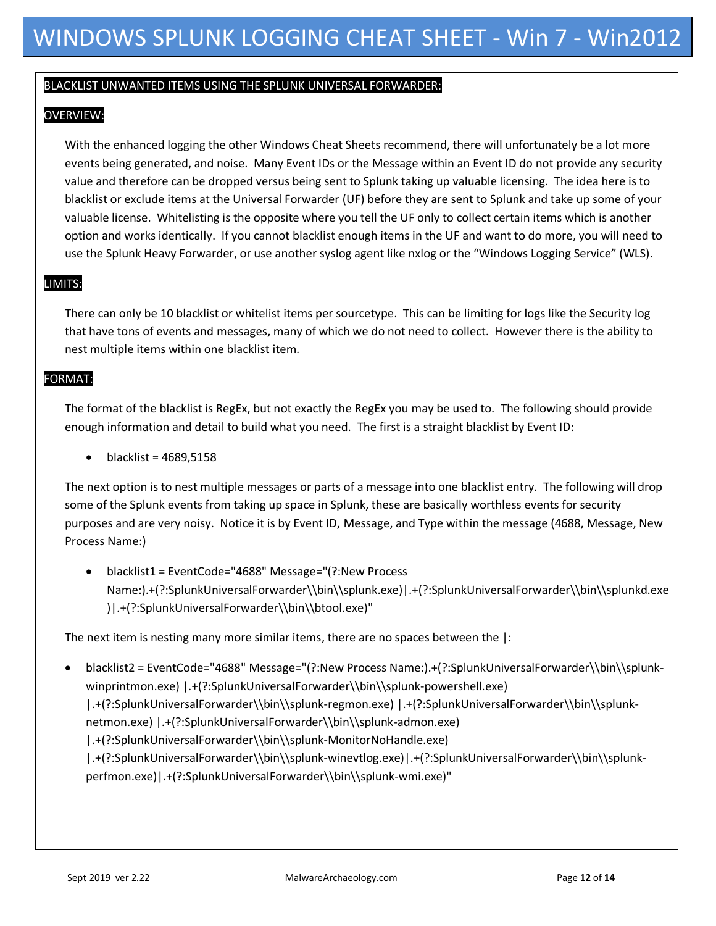## BLACKLIST UNWANTED ITEMS USING THE SPLUNK UNIVERSAL FORWARDER::

# OVERVIEW::

With the enhanced logging the other Windows Cheat Sheets recommend, there will unfortunately be a lot more events being generated, and noise. Many Event IDs or the Message within an Event ID do not provide any security value and therefore can be dropped versus being sent to Splunk taking up valuable licensing. The idea here is to blacklist or exclude items at the Universal Forwarder (UF) before they are sent to Splunk and take up some of your valuable license. Whitelisting is the opposite where you tell the UF only to collect certain items which is another option and works identically. If you cannot blacklist enough items in the UF and want to do more, you will need to use the Splunk Heavy Forwarder, or use another syslog agent like nxlog or the "Windows Logging Service" (WLS).

# LIMITS::

There can only be 10 blacklist or whitelist items per sourcetype. This can be limiting for logs like the Security log that have tons of events and messages, many of which we do not need to collect. However there is the ability to nest multiple items within one blacklist item.

# FORMAT::

The format of the blacklist is RegEx, but not exactly the RegEx you may be used to. The following should provide enough information and detail to build what you need. The first is a straight blacklist by Event ID:

 $\bullet$  blacklist = 4689,5158

The next option is to nest multiple messages or parts of a message into one blacklist entry. The following will drop some of the Splunk events from taking up space in Splunk, these are basically worthless events for security purposes and are very noisy. Notice it is by Event ID, Message, and Type within the message (4688, Message, New Process Name:)

 blacklist1 = EventCode="4688" Message="(?:New Process Name:).+(?:SplunkUniversalForwarder\\bin\\splunk.exe)|.+(?:SplunkUniversalForwarder\\bin\\splunkd.exe )|.+(?:SplunkUniversalForwarder\\bin\\btool.exe)"

The next item is nesting many more similar items, there are no spaces between the |:

 blacklist2 = EventCode="4688" Message="(?:New Process Name:).+(?:SplunkUniversalForwarder\\bin\\splunkwinprintmon.exe) | .+(?:SplunkUniversalForwarder\\bin\\splunk-powershell.exe)

|.+(?:SplunkUniversalForwarder\\bin\\splunk-regmon.exe) |.+(?:SplunkUniversalForwarder\\bin\\splunknetmon.exe) | .+(?:SplunkUniversalForwarder\\bin\\splunk-admon.exe)

|.+(?:SplunkUniversalForwarder\\bin\\splunk-MonitorNoHandle.exe)

|.+(?:SplunkUniversalForwarder\\bin\\splunk-winevtlog.exe)|.+(?:SplunkUniversalForwarder\\bin\\splunkperfmon.exe)|.+(?:SplunkUniversalForwarder\\bin\\splunk-wmi.exe)"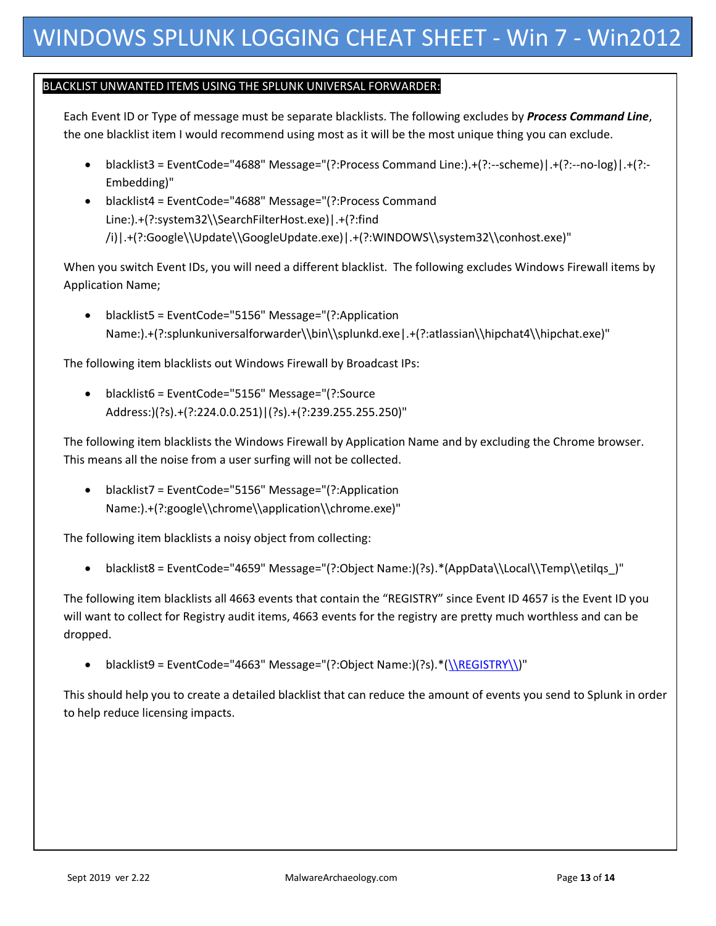## BLACKLIST UNWANTED ITEMS USING THE SPLUNK UNIVERSAL FORWARDER::

Each Event ID or Type of message must be separate blacklists. The following excludes by *Process Command Line*, the one blacklist item I would recommend using most as it will be the most unique thing you can exclude.

- $\bullet$  blacklist3 = EventCode="4688" Message="(?:Process Command Line:).+(?:--scheme)|.+(?:--no-log)|.+(?:-Embedding)"
- blacklist4 = EventCode="4688" Message="(?:Process Command Line:).+(?:system32\\SearchFilterHost.exe)|.+(?:find /i)|.+(?:Google\\Update\\GoogleUpdate.exe)|.+(?:WINDOWS\\system32\\conhost.exe)"

When you switch Event IDs, you will need a different blacklist. The following excludes Windows Firewall items by Application Name;

 blacklist5 = EventCode="5156" Message="(?:Application Name:).+(?:splunkuniversalforwarder\\bin\\splunkd.exe|.+(?:atlassian\\hipchat4\\hipchat.exe)"

The following item blacklists out Windows Firewall by Broadcast IPs:

 blacklist6 = EventCode="5156" Message="(?:Source Address:)(?s).+(?:224.0.0.251)|(?s).+(?:239.255.255.250)"

The following item blacklists the Windows Firewall by Application Name and by excluding the Chrome browser. This means all the noise from a user surfing will not be collected.

 blacklist7 = EventCode="5156" Message="(?:Application Name:).+(?:google\\chrome\\application\\chrome.exe)"

The following item blacklists a noisy object from collecting:

blacklist8 = EventCode="4659" Message="(?:Object Name:)(?s).\*(AppData\\Local\\Temp\\etilqs\_)"

The following item blacklists all 4663 events that contain the "REGISTRY" since Event ID 4657 is the Event ID you will want to collect for Registry audit items, 4663 events for the registry are pretty much worthless and can be dropped.

blacklist9 = EventCode="4663" Message="(?:Object Name:)(?s). \*[\(\\REGISTRY\\\)](file://///REGISTRY/)"

This should help you to create a detailed blacklist that can reduce the amount of events you send to Splunk in order to help reduce licensing impacts.